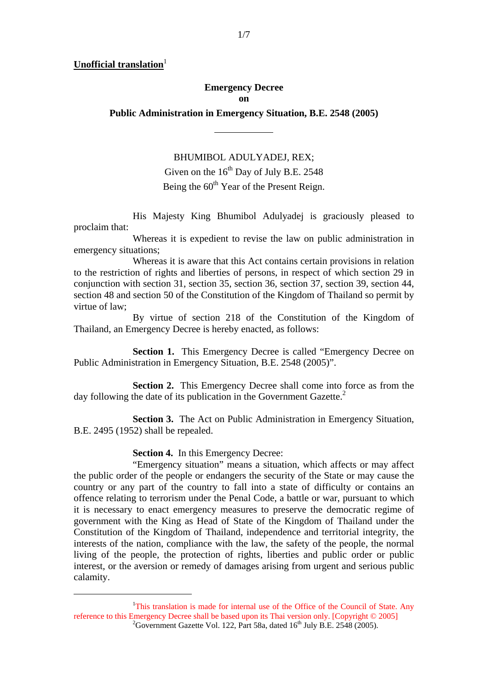**Unofficial translation**<sup>1</sup>

-

## **Emergency Decree on**

**Public Administration in Emergency Situation, B.E. 2548 (2005)** 

 $\overline{a}$ 

BHUMIBOL ADULYADEJ, REX; Given on the  $16<sup>th</sup>$  Day of July B.E. 2548 Being the 60<sup>th</sup> Year of the Present Reign.

 His Majesty King Bhumibol Adulyadej is graciously pleased to proclaim that:

 Whereas it is expedient to revise the law on public administration in emergency situations;

 Whereas it is aware that this Act contains certain provisions in relation to the restriction of rights and liberties of persons, in respect of which section 29 in conjunction with section 31, section 35, section 36, section 37, section 39, section 44, section 48 and section 50 of the Constitution of the Kingdom of Thailand so permit by virtue of law;

 By virtue of section 218 of the Constitution of the Kingdom of Thailand, an Emergency Decree is hereby enacted, as follows:

**Section 1.** This Emergency Decree is called "Emergency Decree on Public Administration in Emergency Situation, B.E. 2548 (2005)".

**Section 2.** This Emergency Decree shall come into force as from the day following the date of its publication in the Government Gazette.<sup>2</sup>

 **Section 3.** The Act on Public Administration in Emergency Situation, B.E. 2495 (1952) shall be repealed.

**Section 4.** In this Emergency Decree:

 "Emergency situation" means a situation, which affects or may affect the public order of the people or endangers the security of the State or may cause the country or any part of the country to fall into a state of difficulty or contains an offence relating to terrorism under the Penal Code, a battle or war, pursuant to which it is necessary to enact emergency measures to preserve the democratic regime of government with the King as Head of State of the Kingdom of Thailand under the Constitution of the Kingdom of Thailand, independence and territorial integrity, the interests of the nation, compliance with the law, the safety of the people, the normal living of the people, the protection of rights, liberties and public order or public interest, or the aversion or remedy of damages arising from urgent and serious public calamity.

<sup>&</sup>lt;sup>1</sup>This translation is made for internal use of the Office of the Council of State. Any reference to this Emergency Decree shall be based upon its Thai version only. [Copyright © 2005] <sup>2</sup>Government Gazette Vol. 122, Part 58a, dated  $16<sup>th</sup>$  July B.E. 2548 (2005).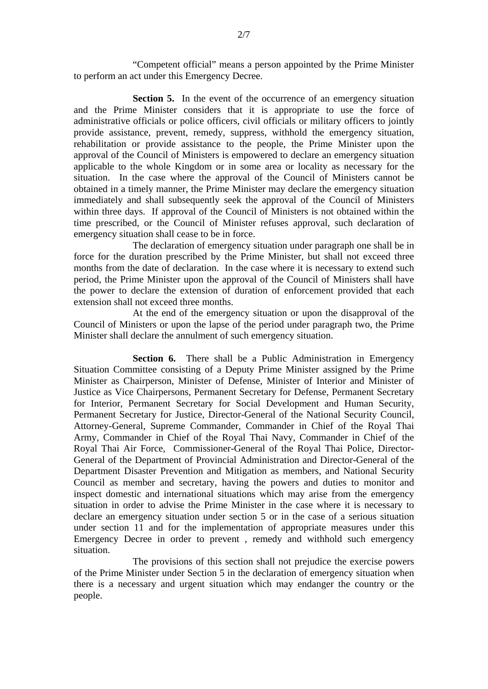"Competent official" means a person appointed by the Prime Minister to perform an act under this Emergency Decree.

**Section 5.** In the event of the occurrence of an emergency situation and the Prime Minister considers that it is appropriate to use the force of administrative officials or police officers, civil officials or military officers to jointly provide assistance, prevent, remedy, suppress, withhold the emergency situation, rehabilitation or provide assistance to the people, the Prime Minister upon the approval of the Council of Ministers is empowered to declare an emergency situation applicable to the whole Kingdom or in some area or locality as necessary for the situation. In the case where the approval of the Council of Ministers cannot be obtained in a timely manner, the Prime Minister may declare the emergency situation immediately and shall subsequently seek the approval of the Council of Ministers within three days. If approval of the Council of Ministers is not obtained within the time prescribed, or the Council of Minister refuses approval, such declaration of emergency situation shall cease to be in force.

 The declaration of emergency situation under paragraph one shall be in force for the duration prescribed by the Prime Minister, but shall not exceed three months from the date of declaration. In the case where it is necessary to extend such period, the Prime Minister upon the approval of the Council of Ministers shall have the power to declare the extension of duration of enforcement provided that each extension shall not exceed three months.

At the end of the emergency situation or upon the disapproval of the Council of Ministers or upon the lapse of the period under paragraph two, the Prime Minister shall declare the annulment of such emergency situation.

**Section 6.** There shall be a Public Administration in Emergency Situation Committee consisting of a Deputy Prime Minister assigned by the Prime Minister as Chairperson, Minister of Defense, Minister of Interior and Minister of Justice as Vice Chairpersons, Permanent Secretary for Defense, Permanent Secretary for Interior, Permanent Secretary for Social Development and Human Security, Permanent Secretary for Justice, Director-General of the National Security Council, Attorney-General, Supreme Commander, Commander in Chief of the Royal Thai Army, Commander in Chief of the Royal Thai Navy, Commander in Chief of the Royal Thai Air Force, Commissioner-General of the Royal Thai Police, Director-General of the Department of Provincial Administration and Director-General of the Department Disaster Prevention and Mitigation as members, and National Security Council as member and secretary, having the powers and duties to monitor and inspect domestic and international situations which may arise from the emergency situation in order to advise the Prime Minister in the case where it is necessary to declare an emergency situation under section 5 or in the case of a serious situation under section 11 and for the implementation of appropriate measures under this Emergency Decree in order to prevent , remedy and withhold such emergency situation.

 The provisions of this section shall not prejudice the exercise powers of the Prime Minister under Section 5 in the declaration of emergency situation when there is a necessary and urgent situation which may endanger the country or the people.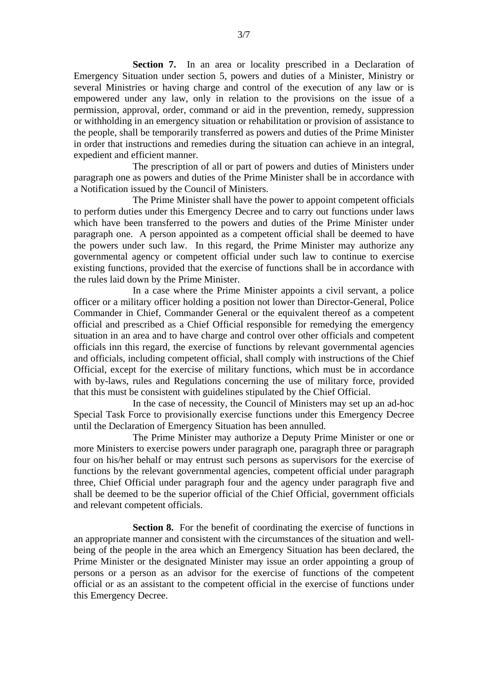**Section 7.** In an area or locality prescribed in a Declaration of Emergency Situation under section 5, powers and duties of a Minister, Ministry or several Ministries or having charge and control of the execution of any law or is empowered under any law, only in relation to the provisions on the issue of a permission, approval, order, command or aid in the prevention, remedy, suppression or withholding in an emergency situation or rehabilitation or provision of assistance to the people, shall be temporarily transferred as powers and duties of the Prime Minister in order that instructions and remedies during the situation can achieve in an integral, expedient and efficient manner.

 The prescription of all or part of powers and duties of Ministers under paragraph one as powers and duties of the Prime Minister shall be in accordance with a Notification issued by the Council of Ministers.

 The Prime Minister shall have the power to appoint competent officials to perform duties under this Emergency Decree and to carry out functions under laws which have been transferred to the powers and duties of the Prime Minister under paragraph one. A person appointed as a competent official shall be deemed to have the powers under such law. In this regard, the Prime Minister may authorize any governmental agency or competent official under such law to continue to exercise existing functions, provided that the exercise of functions shall be in accordance with the rules laid down by the Prime Minister.

 In a case where the Prime Minister appoints a civil servant, a police officer or a military officer holding a position not lower than Director-General, Police Commander in Chief, Commander General or the equivalent thereof as a competent official and prescribed as a Chief Official responsible for remedying the emergency situation in an area and to have charge and control over other officials and competent officials inn this regard, the exercise of functions by relevant governmental agencies and officials, including competent official, shall comply with instructions of the Chief Official, except for the exercise of military functions, which must be in accordance with by-laws, rules and Regulations concerning the use of military force, provided that this must be consistent with guidelines stipulated by the Chief Official.

 In the case of necessity, the Council of Ministers may set up an ad-hoc Special Task Force to provisionally exercise functions under this Emergency Decree until the Declaration of Emergency Situation has been annulled.

 The Prime Minister may authorize a Deputy Prime Minister or one or more Ministers to exercise powers under paragraph one, paragraph three or paragraph four on his/her behalf or may entrust such persons as supervisors for the exercise of functions by the relevant governmental agencies, competent official under paragraph three, Chief Official under paragraph four and the agency under paragraph five and shall be deemed to be the superior official of the Chief Official, government officials and relevant competent officials.

**Section 8.** For the benefit of coordinating the exercise of functions in an appropriate manner and consistent with the circumstances of the situation and wellbeing of the people in the area which an Emergency Situation has been declared, the Prime Minister or the designated Minister may issue an order appointing a group of persons or a person as an advisor for the exercise of functions of the competent official or as an assistant to the competent official in the exercise of functions under this Emergency Decree.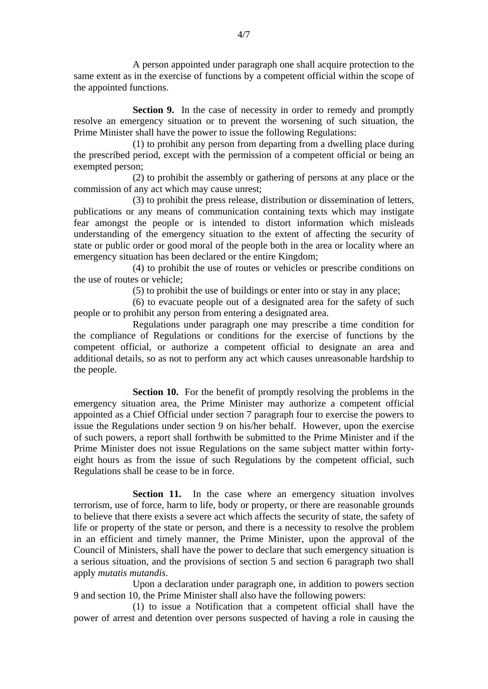A person appointed under paragraph one shall acquire protection to the same extent as in the exercise of functions by a competent official within the scope of the appointed functions.

**Section 9.** In the case of necessity in order to remedy and promptly resolve an emergency situation or to prevent the worsening of such situation, the Prime Minister shall have the power to issue the following Regulations:

(1) to prohibit any person from departing from a dwelling place during the prescribed period, except with the permission of a competent official or being an exempted person;

(2) to prohibit the assembly or gathering of persons at any place or the commission of any act which may cause unrest;

(3) to prohibit the press release, distribution or dissemination of letters, publications or any means of communication containing texts which may instigate fear amongst the people or is intended to distort information which misleads understanding of the emergency situation to the extent of affecting the security of state or public order or good moral of the people both in the area or locality where an emergency situation has been declared or the entire Kingdom;

(4) to prohibit the use of routes or vehicles or prescribe conditions on the use of routes or vehicle;

(5) to prohibit the use of buildings or enter into or stay in any place;

(6) to evacuate people out of a designated area for the safety of such people or to prohibit any person from entering a designated area.

 Regulations under paragraph one may prescribe a time condition for the compliance of Regulations or conditions for the exercise of functions by the competent official, or authorize a competent official to designate an area and additional details, so as not to perform any act which causes unreasonable hardship to the people.

**Section 10.** For the benefit of promptly resolving the problems in the emergency situation area, the Prime Minister may authorize a competent official appointed as a Chief Official under section 7 paragraph four to exercise the powers to issue the Regulations under section 9 on his/her behalf. However, upon the exercise of such powers, a report shall forthwith be submitted to the Prime Minister and if the Prime Minister does not issue Regulations on the same subject matter within fortyeight hours as from the issue of such Regulations by the competent official, such Regulations shall be cease to be in force.

**Section 11.** In the case where an emergency situation involves terrorism, use of force, harm to life, body or property, or there are reasonable grounds to believe that there exists a severe act which affects the security of state, the safety of life or property of the state or person, and there is a necessity to resolve the problem in an efficient and timely manner, the Prime Minister, upon the approval of the Council of Ministers, shall have the power to declare that such emergency situation is a serious situation, and the provisions of section 5 and section 6 paragraph two shall apply *mutatis mutandis*.

Upon a declaration under paragraph one, in addition to powers section 9 and section 10, the Prime Minister shall also have the following powers:

(1) to issue a Notification that a competent official shall have the power of arrest and detention over persons suspected of having a role in causing the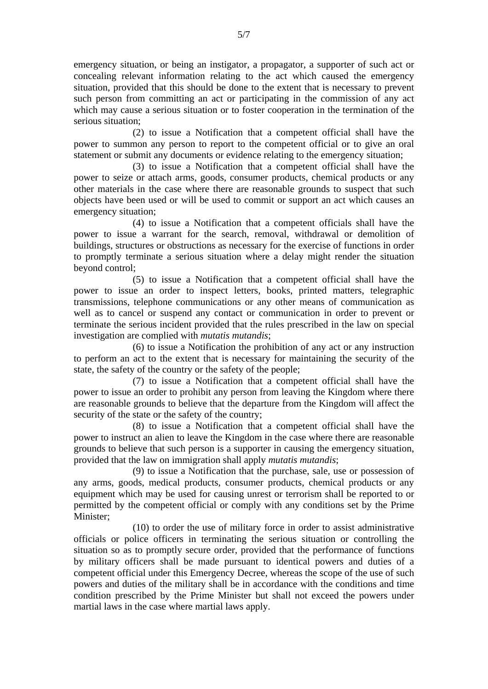emergency situation, or being an instigator, a propagator, a supporter of such act or concealing relevant information relating to the act which caused the emergency situation, provided that this should be done to the extent that is necessary to prevent such person from committing an act or participating in the commission of any act which may cause a serious situation or to foster cooperation in the termination of the serious situation;

(2) to issue a Notification that a competent official shall have the power to summon any person to report to the competent official or to give an oral statement or submit any documents or evidence relating to the emergency situation;

(3) to issue a Notification that a competent official shall have the power to seize or attach arms, goods, consumer products, chemical products or any other materials in the case where there are reasonable grounds to suspect that such objects have been used or will be used to commit or support an act which causes an emergency situation;

(4) to issue a Notification that a competent officials shall have the power to issue a warrant for the search, removal, withdrawal or demolition of buildings, structures or obstructions as necessary for the exercise of functions in order to promptly terminate a serious situation where a delay might render the situation beyond control;

(5) to issue a Notification that a competent official shall have the power to issue an order to inspect letters, books, printed matters, telegraphic transmissions, telephone communications or any other means of communication as well as to cancel or suspend any contact or communication in order to prevent or terminate the serious incident provided that the rules prescribed in the law on special investigation are complied with *mutatis mutandis*;

(6) to issue a Notification the prohibition of any act or any instruction to perform an act to the extent that is necessary for maintaining the security of the state, the safety of the country or the safety of the people;

(7) to issue a Notification that a competent official shall have the power to issue an order to prohibit any person from leaving the Kingdom where there are reasonable grounds to believe that the departure from the Kingdom will affect the security of the state or the safety of the country;

(8) to issue a Notification that a competent official shall have the power to instruct an alien to leave the Kingdom in the case where there are reasonable grounds to believe that such person is a supporter in causing the emergency situation, provided that the law on immigration shall apply *mutatis mutandis*;

(9) to issue a Notification that the purchase, sale, use or possession of any arms, goods, medical products, consumer products, chemical products or any equipment which may be used for causing unrest or terrorism shall be reported to or permitted by the competent official or comply with any conditions set by the Prime Minister;

(10) to order the use of military force in order to assist administrative officials or police officers in terminating the serious situation or controlling the situation so as to promptly secure order, provided that the performance of functions by military officers shall be made pursuant to identical powers and duties of a competent official under this Emergency Decree, whereas the scope of the use of such powers and duties of the military shall be in accordance with the conditions and time condition prescribed by the Prime Minister but shall not exceed the powers under martial laws in the case where martial laws apply.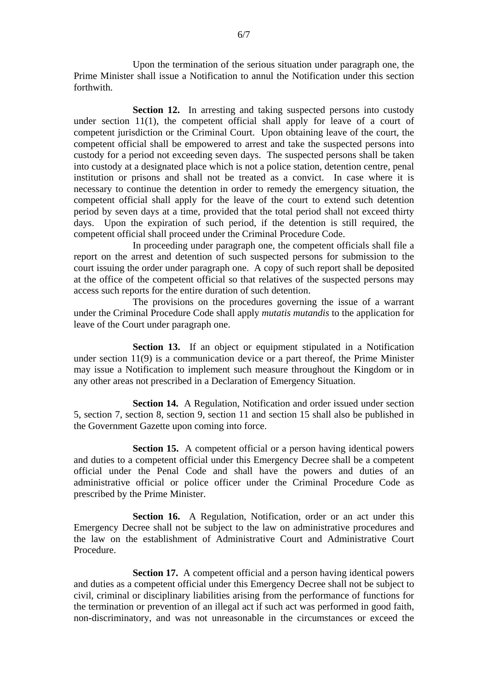Upon the termination of the serious situation under paragraph one, the Prime Minister shall issue a Notification to annul the Notification under this section forthwith.

**Section 12.** In arresting and taking suspected persons into custody under section 11(1), the competent official shall apply for leave of a court of competent jurisdiction or the Criminal Court. Upon obtaining leave of the court, the competent official shall be empowered to arrest and take the suspected persons into custody for a period not exceeding seven days. The suspected persons shall be taken into custody at a designated place which is not a police station, detention centre, penal institution or prisons and shall not be treated as a convict. In case where it is necessary to continue the detention in order to remedy the emergency situation, the competent official shall apply for the leave of the court to extend such detention period by seven days at a time, provided that the total period shall not exceed thirty days. Upon the expiration of such period, if the detention is still required, the competent official shall proceed under the Criminal Procedure Code.

In proceeding under paragraph one, the competent officials shall file a report on the arrest and detention of such suspected persons for submission to the court issuing the order under paragraph one. A copy of such report shall be deposited at the office of the competent official so that relatives of the suspected persons may access such reports for the entire duration of such detention.

The provisions on the procedures governing the issue of a warrant under the Criminal Procedure Code shall apply *mutatis mutandis* to the application for leave of the Court under paragraph one.

**Section 13.** If an object or equipment stipulated in a Notification under section 11(9) is a communication device or a part thereof, the Prime Minister may issue a Notification to implement such measure throughout the Kingdom or in any other areas not prescribed in a Declaration of Emergency Situation.

**Section 14.** A Regulation, Notification and order issued under section 5, section 7, section 8, section 9, section 11 and section 15 shall also be published in the Government Gazette upon coming into force.

**Section 15.** A competent official or a person having identical powers and duties to a competent official under this Emergency Decree shall be a competent official under the Penal Code and shall have the powers and duties of an administrative official or police officer under the Criminal Procedure Code as prescribed by the Prime Minister.

**Section 16.** A Regulation, Notification, order or an act under this Emergency Decree shall not be subject to the law on administrative procedures and the law on the establishment of Administrative Court and Administrative Court Procedure.

**Section 17.** A competent official and a person having identical powers and duties as a competent official under this Emergency Decree shall not be subject to civil, criminal or disciplinary liabilities arising from the performance of functions for the termination or prevention of an illegal act if such act was performed in good faith, non-discriminatory, and was not unreasonable in the circumstances or exceed the